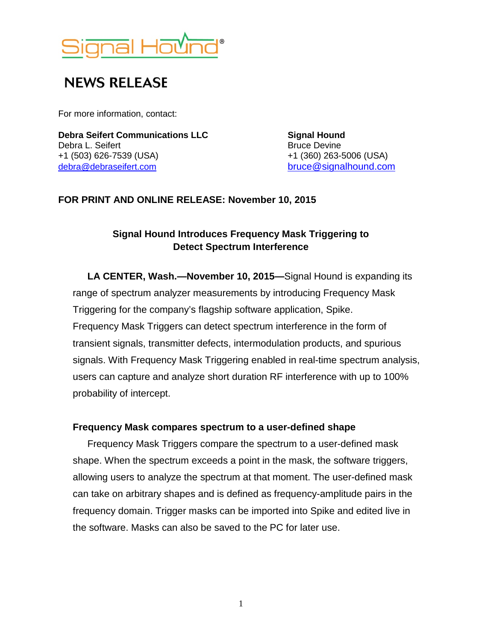

# **NEWS RELEASE**

For more information, contact:

**Debra Seifert Communications LLC Signal Hound** Debra L. Seifert **Bruce Devine** Bruce Devine +1 (503) 626-7539 (USA) +1 (360) 263-5006 (USA)

[bruce@signalhound.com](mailto:bruce@signalhound.com)

### **FOR PRINT AND ONLINE RELEASE: November 10, 2015**

## **Signal Hound Introduces Frequency Mask Triggering to Detect Spectrum Interference**

**LA CENTER, Wash.—November 10, 2015—**Signal Hound is expanding its range of spectrum analyzer measurements by introducing Frequency Mask Triggering for the company's flagship software application, Spike. Frequency Mask Triggers can detect spectrum interference in the form of transient signals, transmitter defects, intermodulation products, and spurious signals. With Frequency Mask Triggering enabled in real-time spectrum analysis, users can capture and analyze short duration RF interference with up to 100% probability of intercept.

#### **Frequency Mask compares spectrum to a user-defined shape**

Frequency Mask Triggers compare the spectrum to a user-defined mask shape. When the spectrum exceeds a point in the mask, the software triggers, allowing users to analyze the spectrum at that moment. The user-defined mask can take on arbitrary shapes and is defined as frequency-amplitude pairs in the frequency domain. Trigger masks can be imported into Spike and edited live in the software. Masks can also be saved to the PC for later use.